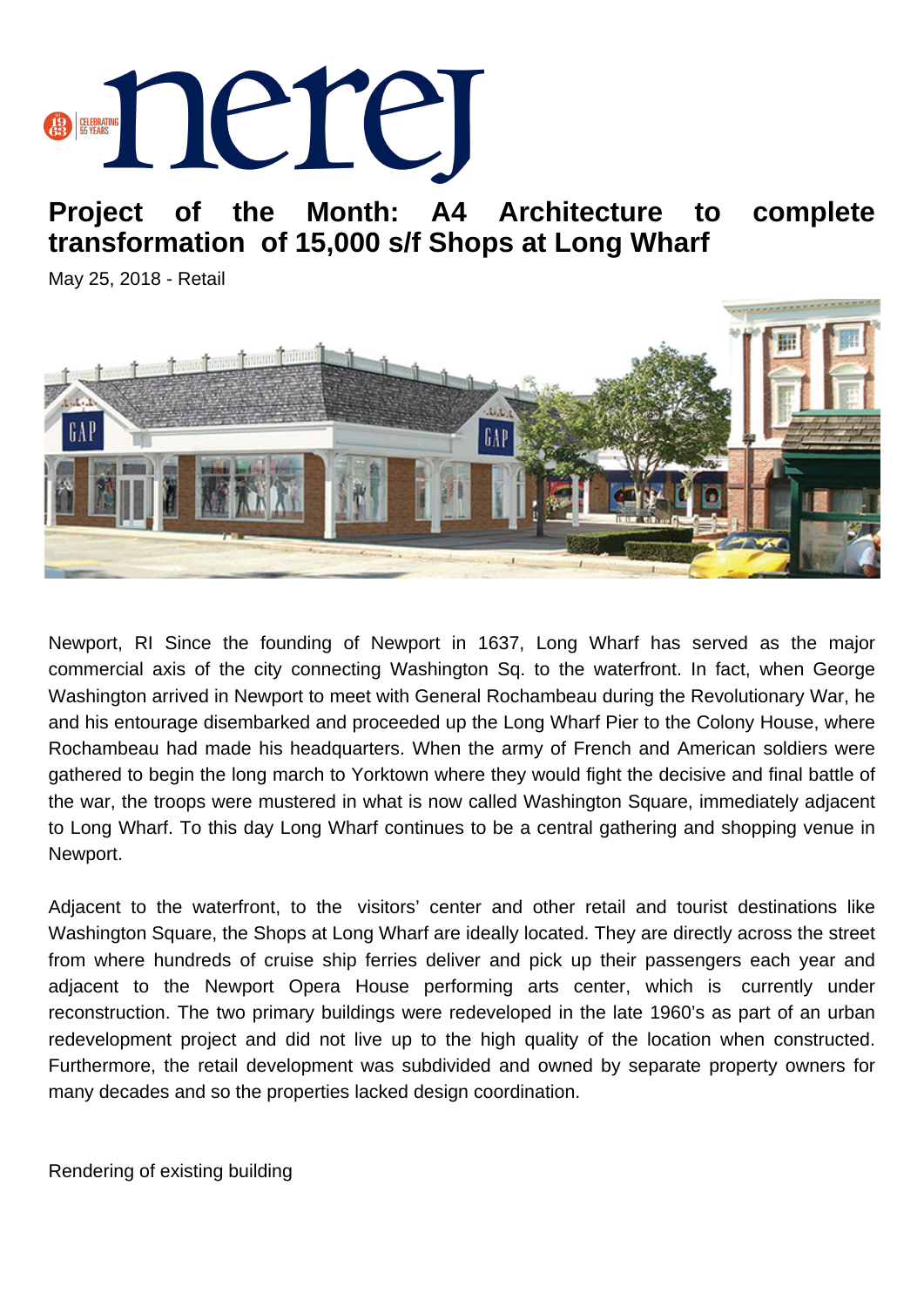

**Project of the Month: A4 Architecture to complete transformation of 15,000 s/f Shops at Long Wharf**

May 25, 2018 - Retail



Newport, RI Since the founding of Newport in 1637, Long Wharf has served as the major commercial axis of the city connecting Washington Sq. to the waterfront. In fact, when George Washington arrived in Newport to meet with General Rochambeau during the Revolutionary War, he and his entourage disembarked and proceeded up the Long Wharf Pier to the Colony House, where Rochambeau had made his headquarters. When the army of French and American soldiers were gathered to begin the long march to Yorktown where they would fight the decisive and final battle of the war, the troops were mustered in what is now called Washington Square, immediately adjacent to Long Wharf. To this day Long Wharf continues to be a central gathering and shopping venue in Newport.

Adjacent to the waterfront, to the visitors' center and other retail and tourist destinations like Washington Square, the Shops at Long Wharf are ideally located. They are directly across the street from where hundreds of cruise ship ferries deliver and pick up their passengers each year and adjacent to the Newport Opera House performing arts center, which is currently under reconstruction. The two primary buildings were redeveloped in the late 1960's as part of an urban redevelopment project and did not live up to the high quality of the location when constructed. Furthermore, the retail development was subdivided and owned by separate property owners for many decades and so the properties lacked design coordination.

Rendering of existing building